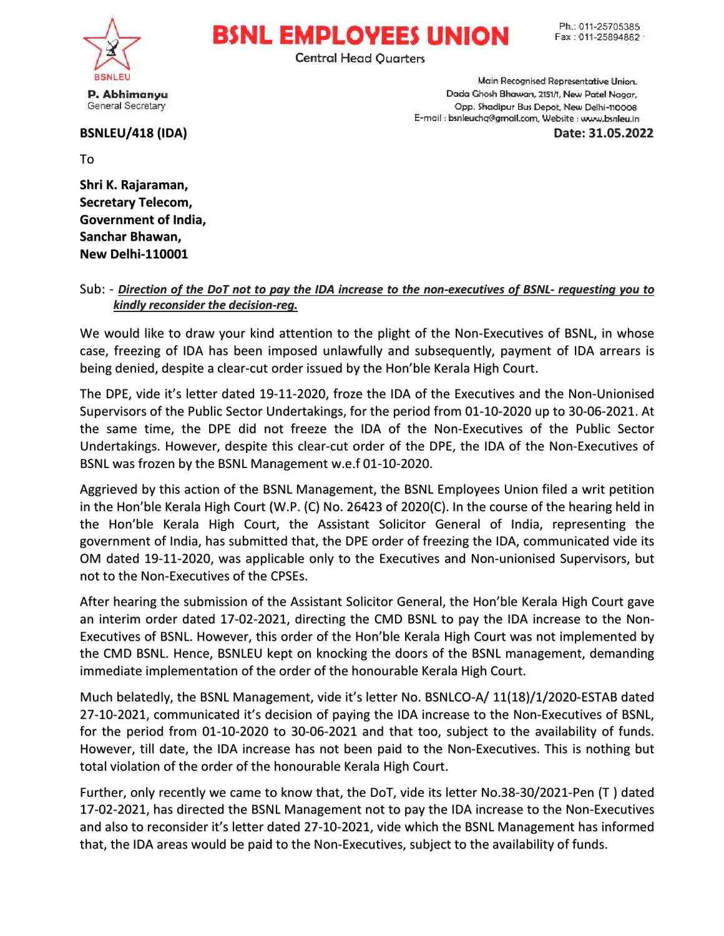

## **BSNL EMPLOYEES UNION**

**Central Head Quarters** 

P. Abhimanyu General Secretary

## BSNLEU/418 (IDA)

Main Recognised Representative Union. Dada Ghosh Bhawan, 2151/1, New Patel Nagar, Opp. Shadipur Bus Depot, New Delhi-110008 E-mail : bsnleuchq@gmail.com, Website : www.bsnleu.in

Date: 31.05.2022

To

Shri K. Rajaraman, Secretary Telecom, Government of India, Sanchar Bhawan, New Delhi-110001

## Sub: - <u>Direction of the DoT not to pay the IDA increase to the non-executives of BSNL- requesting you to</u> <u>kindly reconsider the decision-reg.</u>

We would like to draw your kind attention to the plight of the Non-Executives of BSNL, in whose case, freezing of IDA has been imposed unlawfully and subsequently, payment of IDA arrears is being denied, despite a clear-cut order issued by the Hon'ble Kerala High Court.

The DPE, vide it's letter dated 19-11-2020, froze the IDA of the Executives and the Non-Unionised Supervisors of the Public Sector Undertakings, for the period from 01-10-2020 up to 30-06-2021. At the same time, the DPE did not freeze the IDA of the Non-Executives of the Public Sector Undertakings. However, despite this clear-cut order of the DPE, the IDA of the Non-Executives of BSNL was frozen by the BSNL Management w.e.f 01-10-2020.

Aggrieved by this action of the BSNL Management, the BSNL Employees Union filed a writ petition in the Hon'ble Kerala High Court (W.P. (C) No. 26423 of 2020(C). In the course of the hearing held in the Hon'ble Kerala High Court, the Assistant Solicitor General of India, representing the government of India, has submitted that, the DPE order of freezing the IDA, communicated vide its OM dated 19-11-2020, was applicable only to the Executives and Non-unionised Supervisors, but not to the Non-Executives of the CPSEs.

After hearing the submission of the Assistant Solicitor General, the Hon'ble Kerala High Court gave an interim order dated 17-02-2021, directing the CMD BSNL to pay the IDA increase to the Non-Executives of BSNL. However, this order of the Hon'ble Kerala High Court was not implemented by the CMD BSNL. Hence, BSNLEU kept on knocking the doors of the BSNL management, demanding immediate implementation of the order of the honourable Kerala High Court.

Much belatedly, the BSNL Management, vide it's letter No. BSNLCO-A/ 11(18)/1/2020-ESTAB dated 27-10-2021, communicated it's decision of paying the IDA increase to the Non-Executives of BSNL, for the period from 01-10-2020 to 30-06-2021 and that too, subject to the availability of funds. However, till date, the IDA increase has not been paid to the Non-Executives. This is nothing but total violation of the order of the honourable Kerala High Court.

Further, only recently we came to know that, the DoT, vide its letter No.38-30/2021-Pen (T) dated 17-02-2021, has directed the BSNL Management not to pay the IDA increase to the Non-Executives and also to reconsider it's letter dated 27-10-2021, vide which the BSNL Management has informed that, the IDA areas would be paid to the Non-Executives, subject to the availability of funds.